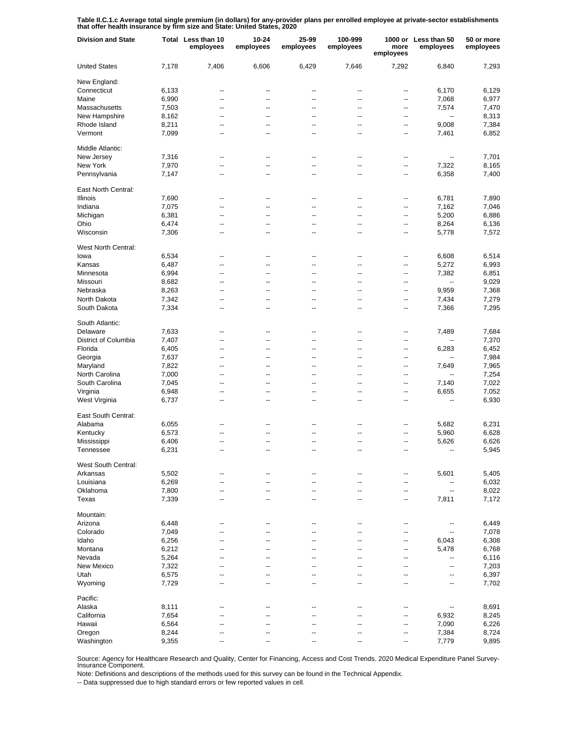**Table II.C.1.c Average total single premium (in dollars) for any-provider plans per enrolled employee at private-sector establishments that offer health insurance by firm size and State: United States, 2020**

| <b>Division and State</b> |       | Total Less than 10<br>employees | 10-24<br>employees | 25-99<br>employees | 100-999<br>employees | more<br>employees | 1000 or Less than 50<br>employees | 50 or more<br>employees |
|---------------------------|-------|---------------------------------|--------------------|--------------------|----------------------|-------------------|-----------------------------------|-------------------------|
| <b>United States</b>      | 7,178 | 7,406                           | 6,606              | 6,429              | 7,646                | 7,292             | 6,840                             | 7,293                   |
| New England:              |       |                                 |                    |                    |                      |                   |                                   |                         |
| Connecticut               | 6,133 | --                              | --                 | --                 | --                   | --                | 6,170                             | 6,129                   |
| Maine                     | 6,990 | --                              | --                 | --                 | --                   | --                | 7,068                             | 6,977                   |
| Massachusetts             | 7,503 | --                              | --                 | --                 | --                   | --                | 7,574                             | 7,470                   |
| New Hampshire             | 8,162 | --                              | --                 | ۰.                 | --                   | --                | --                                | 8,313                   |
| Rhode Island              | 8,211 | --                              | --                 | --                 | --                   | $\overline{a}$    | 9,008                             | 7,384                   |
| Vermont                   | 7,099 | --                              | --                 | ۰.                 | --                   | ⊷                 | 7,461                             | 6,852                   |
| Middle Atlantic:          |       |                                 |                    |                    |                      |                   |                                   |                         |
| New Jersey                | 7,316 | --                              | $\overline{a}$     | $\overline{a}$     | --                   | --                | --                                | 7,701                   |
| New York                  | 7,970 | $\overline{a}$                  | $\overline{a}$     | $\overline{a}$     | --                   | $\overline{a}$    | 7,322                             | 8,165                   |
| Pennsylvania              | 7,147 | $\overline{a}$                  | --                 | $\overline{a}$     | --                   | --                | 6,358                             | 7,400                   |
| East North Central:       |       |                                 |                    |                    |                      |                   |                                   |                         |
| Illinois                  | 7,690 | --                              | --                 | --                 | --                   | --                | 6,781                             | 7,890                   |
| Indiana                   | 7,075 | --                              | --                 | --                 | --                   | --                | 7,162                             | 7,046                   |
| Michigan                  | 6,381 | --                              | --                 | --                 | --                   | --                | 5,200                             | 6,886                   |
| Ohio                      | 6,474 | --                              | --                 | --                 | --                   | --                | 8,264                             | 6,136                   |
| Wisconsin                 | 7,306 | --                              | --                 | $\overline{a}$     | --                   | --                | 5,778                             | 7,572                   |
| West North Central:       |       |                                 |                    |                    |                      |                   |                                   |                         |
| lowa                      | 6,534 | --                              | --                 | --                 | --                   | --                | 6,608                             | 6,514                   |
| Kansas                    | 6,487 | --                              | --                 | --                 | --                   | --                | 5,272                             | 6,993                   |
| Minnesota                 | 6,994 | --                              | --                 | --                 | --                   | --                | 7,382                             | 6,851                   |
| Missouri                  | 8,682 | $\overline{\phantom{a}}$        | --                 | --                 | --                   | --                | $\overline{\phantom{a}}$          | 9,029                   |
| Nebraska                  | 8,263 | --                              | --                 | --                 | --                   | $\overline{a}$    | 9,959                             | 7,368                   |
| North Dakota              | 7,342 | --                              | --                 | --                 | --                   | --                | 7,434                             | 7,279                   |
| South Dakota              | 7,334 | --                              | --                 | --                 | --                   | --                | 7,366                             | 7,295                   |
| South Atlantic:           |       |                                 |                    |                    |                      |                   |                                   |                         |
| Delaware                  | 7,633 | --                              | --                 | --                 | --                   | --                | 7,489                             | 7,684                   |
| District of Columbia      | 7,407 | $\overline{a}$                  | --                 | -−                 | --                   | --                | $-$                               | 7,370                   |
| Florida                   | 6,405 | $\overline{a}$                  | --                 | $\overline{a}$     | --                   | --                | 6,283                             | 6,452                   |
| Georgia                   | 7,637 | $\overline{a}$                  | --                 | $\overline{a}$     | --                   | --                | $-$                               | 7,984                   |
| Maryland                  | 7,822 | $\overline{a}$                  | --                 | $\overline{a}$     | --                   | --                | 7,649                             | 7,965                   |
| North Carolina            | 7,000 | $\overline{a}$                  | $\overline{a}$     | $\overline{a}$     | --                   | --                | $-$                               | 7,254                   |
| South Carolina            | 7,045 | $\overline{a}$                  | --                 | $\overline{a}$     | --                   | --                | 7,140                             | 7,022                   |
| Virginia                  | 6,948 | $\overline{a}$                  | $\overline{a}$     | $\overline{a}$     | --                   | $\overline{a}$    | 6,655                             | 7,052                   |
| West Virginia             | 6,737 | $\overline{a}$                  | $\overline{a}$     | $\overline{a}$     | --                   | --                | --                                | 6,930                   |
|                           |       |                                 |                    |                    |                      |                   |                                   |                         |
| East South Central:       |       |                                 |                    |                    |                      |                   |                                   |                         |
| Alabama                   | 6,055 | --                              | --                 | --                 | --                   | --                | 5,682                             | 6,231                   |
| Kentucky                  | 6,573 | --                              | --                 | --                 | --                   | --                | 5,960                             | 6,628                   |
| Mississippi               | 6,406 | --                              | --                 | --                 | --                   | --                | 5,626                             | 6,626                   |
| Tennessee                 | 6,231 | --                              | --                 | $\overline{a}$     | --                   | --                | --                                | 5,945                   |
| West South Central:       |       |                                 |                    |                    |                      |                   |                                   |                         |
| Arkansas                  | 5,502 | --                              |                    |                    |                      |                   | 5,601                             | 5,405                   |
| Louisiana                 | 6,269 | --                              | --                 | --                 | --                   | --                |                                   | 6,032                   |
| Oklahoma                  | 7,800 | --                              | --                 | --                 | --                   | $\overline{a}$    | --                                | 8,022                   |
| Texas                     | 7,339 | ۰.                              | --                 | --                 | --                   | --                | 7,811                             | 7,172                   |
| Mountain:                 |       |                                 |                    |                    |                      |                   |                                   |                         |
| Arizona                   | 6,448 | --                              | --                 | --                 | --                   | --                | --                                | 6,449                   |
| Colorado                  | 7,049 | --                              | --                 | --                 | --                   | --                | --                                | 7,078                   |
| Idaho                     | 6,256 | --                              | --                 | --                 | --                   | --                | 6,043                             | 6,308                   |
| Montana                   | 6,212 | --                              | --                 | --                 | --                   | --                | 5,478                             | 6,768                   |
| Nevada                    | 5,264 | --                              | ц,                 | --                 | --                   | --                | --                                | 6,116                   |
| New Mexico                | 7,322 | --                              | --                 | --                 | --                   | --                | --                                | 7,203                   |
| Utah                      | 6,575 | --                              | --                 | $\overline{a}$     | --                   | --                | --                                | 6,397                   |
| Wyoming                   | 7,729 | $\overline{a}$                  | --                 | --                 | --                   | --                | --                                | 7,702                   |
| Pacific:                  |       |                                 |                    |                    |                      |                   |                                   |                         |
| Alaska                    | 8,111 | --                              | --                 | --                 | --                   | --                | --                                | 8,691                   |
| California                | 7,654 | --                              | --                 |                    | --                   | --                | 6,932                             | 8,245                   |
| Hawaii                    | 6,564 | --                              | --                 | --                 | --                   | --                | 7,090                             | 6,226                   |
| Oregon                    | 8,244 | --                              | --                 |                    | --                   | --                | 7,384                             | 8,724                   |
| Washington                | 9,355 | --                              | --                 | --                 | --                   | --                | 7,779                             | 9,895                   |

Source: Agency for Healthcare Research and Quality, Center for Financing, Access and Cost Trends. 2020 Medical Expenditure Panel Survey-Insurance Component.

Note: Definitions and descriptions of the methods used for this survey can be found in the Technical Appendix.

-- Data suppressed due to high standard errors or few reported values in cell.